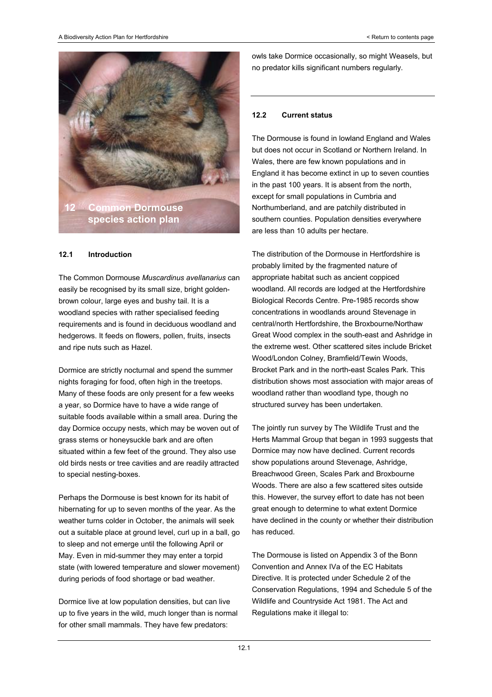

## **12.1 Introduction**

The Common Dormouse *Muscardinus avellanarius* can easily be recognised by its small size, bright goldenbrown colour, large eyes and bushy tail. It is a woodland species with rather specialised feeding requirements and is found in deciduous woodland and hedgerows. It feeds on flowers, pollen, fruits, insects and ripe nuts such as Hazel.

Dormice are strictly nocturnal and spend the summer nights foraging for food, often high in the treetops. Many of these foods are only present for a few weeks a year, so Dormice have to have a wide range of suitable foods available within a small area. During the day Dormice occupy nests, which may be woven out of grass stems or honeysuckle bark and are often situated within a few feet of the ground. They also use old birds nests or tree cavities and are readily attracted to special nesting-boxes.

Perhaps the Dormouse is best known for its habit of hibernating for up to seven months of the year. As the weather turns colder in October, the animals will seek out a suitable place at ground level, curl up in a ball, go to sleep and not emerge until the following April or May. Even in mid-summer they may enter a torpid state (with lowered temperature and slower movement) during periods of food shortage or bad weather.

Dormice live at low population densities, but can live up to five years in the wild, much longer than is normal for other small mammals. They have few predators:

owls take Dormice occasionally, so might Weasels, but no predator kills significant numbers regularly.

## **12.2 Current status**

The Dormouse is found in lowland England and Wales but does not occur in Scotland or Northern Ireland. In Wales, there are few known populations and in England it has become extinct in up to seven counties in the past 100 years. It is absent from the north, except for small populations in Cumbria and Northumberland, and are patchily distributed in southern counties. Population densities everywhere are less than 10 adults per hectare.

The distribution of the Dormouse in Hertfordshire is probably limited by the fragmented nature of appropriate habitat such as ancient coppiced woodland. All records are lodged at the Hertfordshire Biological Records Centre. Pre-1985 records show concentrations in woodlands around Stevenage in central/north Hertfordshire, the Broxbourne/Northaw Great Wood complex in the south-east and Ashridge in the extreme west. Other scattered sites include Bricket Wood/London Colney, Bramfield/Tewin Woods, Brocket Park and in the north-east Scales Park. This distribution shows most association with major areas of woodland rather than woodland type, though no structured survey has been undertaken.

The jointly run survey by The Wildlife Trust and the Herts Mammal Group that began in 1993 suggests that Dormice may now have declined. Current records show populations around Stevenage, Ashridge, Breachwood Green, Scales Park and Broxbourne Woods. There are also a few scattered sites outside this. However, the survey effort to date has not been great enough to determine to what extent Dormice have declined in the county or whether their distribution has reduced.

The Dormouse is listed on Appendix 3 of the Bonn Convention and Annex IVa of the EC Habitats Directive. It is protected under Schedule 2 of the Conservation Regulations, 1994 and Schedule 5 of the Wildlife and Countryside Act 1981. The Act and Regulations make it illegal to: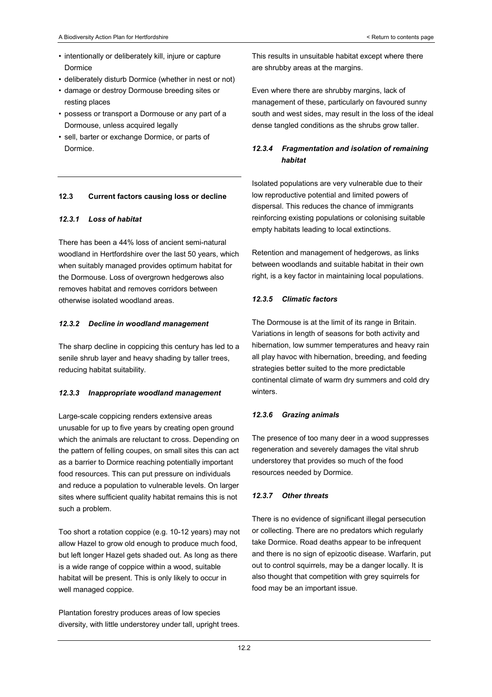- intentionally or deliberately kill, injure or capture Dormice
- deliberately disturb Dormice (whether in nest or not)
- damage or destroy Dormouse breeding sites or resting places
- possess or transport a Dormouse or any part of a Dormouse, unless acquired legally
- sell, barter or exchange Dormice, or parts of Dormice.

## **12.3 Current factors causing loss or decline**

## *12.3.1 Loss of habitat*

There has been a 44% loss of ancient semi-natural woodland in Hertfordshire over the last 50 years, which when suitably managed provides optimum habitat for the Dormouse. Loss of overgrown hedgerows also removes habitat and removes corridors between otherwise isolated woodland areas.

## *12.3.2 Decline in woodland management*

The sharp decline in coppicing this century has led to a senile shrub layer and heavy shading by taller trees, reducing habitat suitability.

## *12.3.3 Inappropriate woodland management*

Large-scale coppicing renders extensive areas unusable for up to five years by creating open ground which the animals are reluctant to cross. Depending on the pattern of felling coupes, on small sites this can act as a barrier to Dormice reaching potentially important food resources. This can put pressure on individuals and reduce a population to vulnerable levels. On larger sites where sufficient quality habitat remains this is not such a problem.

Too short a rotation coppice (e.g. 10-12 years) may not allow Hazel to grow old enough to produce much food, but left longer Hazel gets shaded out. As long as there is a wide range of coppice within a wood, suitable habitat will be present. This is only likely to occur in well managed coppice.

Plantation forestry produces areas of low species diversity, with little understorey under tall, upright trees. This results in unsuitable habitat except where there are shrubby areas at the margins.

Even where there are shrubby margins, lack of management of these, particularly on favoured sunny south and west sides, may result in the loss of the ideal dense tangled conditions as the shrubs grow taller.

# *12.3.4 Fragmentation and isolation of remaining habitat*

Isolated populations are very vulnerable due to their low reproductive potential and limited powers of dispersal. This reduces the chance of immigrants reinforcing existing populations or colonising suitable empty habitats leading to local extinctions.

Retention and management of hedgerows, as links between woodlands and suitable habitat in their own right, is a key factor in maintaining local populations.

# *12.3.5 Climatic factors*

The Dormouse is at the limit of its range in Britain. Variations in length of seasons for both activity and hibernation, low summer temperatures and heavy rain all play havoc with hibernation, breeding, and feeding strategies better suited to the more predictable continental climate of warm dry summers and cold dry winters.

# *12.3.6 Grazing animals*

The presence of too many deer in a wood suppresses regeneration and severely damages the vital shrub understorey that provides so much of the food resources needed by Dormice.

## *12.3.7 Other threats*

There is no evidence of significant illegal persecution or collecting. There are no predators which regularly take Dormice. Road deaths appear to be infrequent and there is no sign of epizootic disease. Warfarin, put out to control squirrels, may be a danger locally. It is also thought that competition with grey squirrels for food may be an important issue.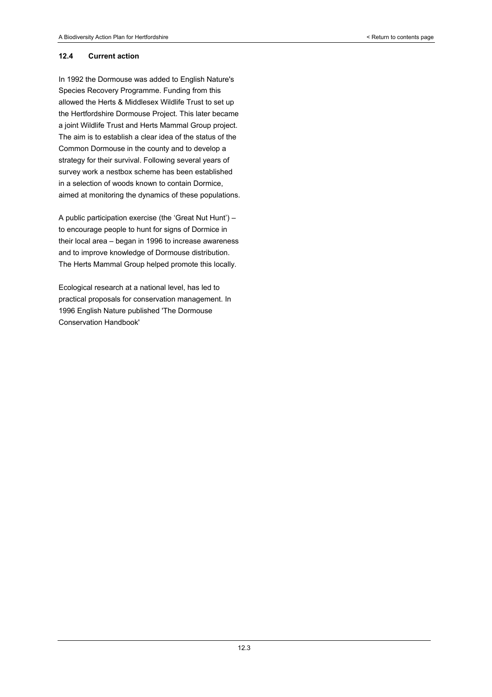#### **12.4 Current action**

In 1992 the Dormouse was added to English Nature's Species Recovery Programme. Funding from this allowed the Herts & Middlesex Wildlife Trust to set up the Hertfordshire Dormouse Project. This later became a joint Wildlife Trust and Herts Mammal Group project. The aim is to establish a clear idea of the status of the Common Dormouse in the county and to develop a strategy for their survival. Following several years of survey work a nestbox scheme has been established in a selection of woods known to contain Dormice, aimed at monitoring the dynamics of these populations.

A public participation exercise (the 'Great Nut Hunt') – to encourage people to hunt for signs of Dormice in their local area – began in 1996 to increase awareness and to improve knowledge of Dormouse distribution. The Herts Mammal Group helped promote this locally.

Ecological research at a national level, has led to practical proposals for conservation management. In 1996 English Nature published 'The Dormouse Conservation Handbook'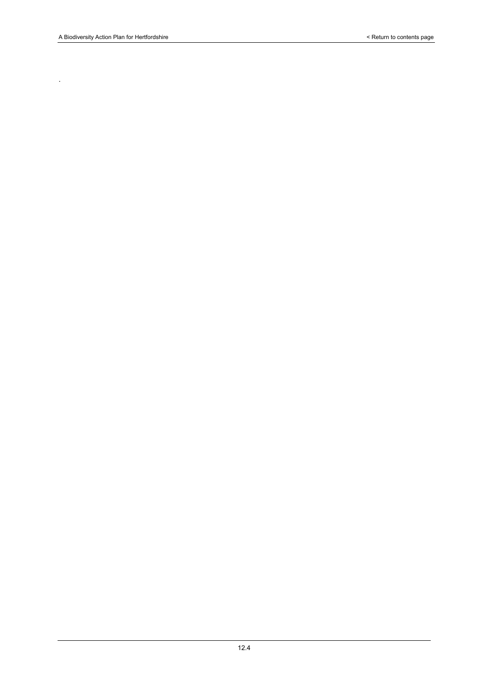.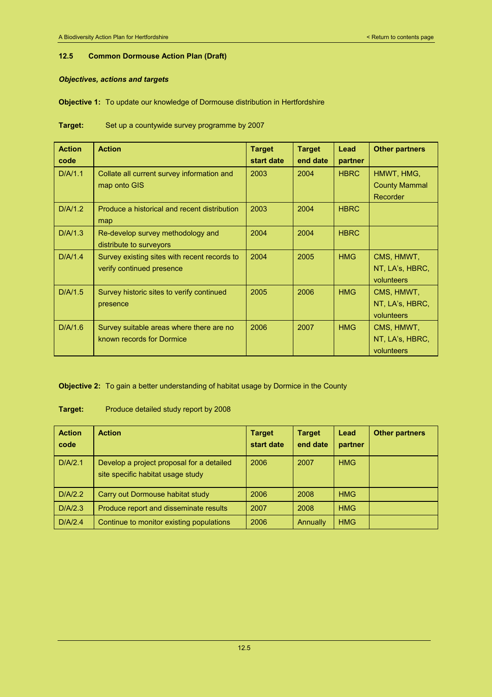# **12.5 Common Dormouse Action Plan (Draft)**

# *Objectives, actions and targets*

# **Objective 1:** To update our knowledge of Dormouse distribution in Hertfordshire

# **Target:** Set up a countywide survey programme by 2007

| <b>Action</b> | <b>Action</b>                                | <b>Target</b> | <b>Target</b> | Lead        | <b>Other partners</b> |
|---------------|----------------------------------------------|---------------|---------------|-------------|-----------------------|
| code          |                                              | start date    | end date      | partner     |                       |
| D/A/1.1       | Collate all current survey information and   | 2003          | 2004          | <b>HBRC</b> | HMWT, HMG,            |
|               | map onto GIS                                 |               |               |             | <b>County Mammal</b>  |
|               |                                              |               |               |             | Recorder              |
| D/A/1.2       | Produce a historical and recent distribution | 2003          | 2004          | <b>HBRC</b> |                       |
|               | map.                                         |               |               |             |                       |
| D/A/1.3       | Re-develop survey methodology and            | 2004          | 2004          | <b>HBRC</b> |                       |
|               | distribute to surveyors                      |               |               |             |                       |
| D/A/1.4       | Survey existing sites with recent records to | 2004          | 2005          | <b>HMG</b>  | CMS, HMWT,            |
|               | verify continued presence                    |               |               |             | NT, LA's, HBRC,       |
|               |                                              |               |               |             | volunteers            |
| D/A/1.5       | Survey historic sites to verify continued    | 2005          | 2006          | <b>HMG</b>  | CMS, HMWT,            |
|               | presence                                     |               |               |             | NT, LA's, HBRC,       |
|               |                                              |               |               |             | volunteers            |
| D/A/1.6       | Survey suitable areas where there are no     | 2006          | 2007          | <b>HMG</b>  | CMS, HMWT,            |
|               | known records for Dormice                    |               |               |             | NT, LA's, HBRC,       |
|               |                                              |               |               |             | volunteers            |

# **Objective 2:** To gain a better understanding of habitat usage by Dormice in the County

# **Target:** Produce detailed study report by 2008

| <b>Action</b><br>code | <b>Action</b>                                                                  | <b>Target</b><br>start date | <b>Target</b><br>end date | Lead<br>partner | <b>Other partners</b> |
|-----------------------|--------------------------------------------------------------------------------|-----------------------------|---------------------------|-----------------|-----------------------|
| D/A/2.1               | Develop a project proposal for a detailed<br>site specific habitat usage study | 2006                        | 2007                      | <b>HMG</b>      |                       |
| D/A/2.2               | Carry out Dormouse habitat study                                               | 2006                        | 2008                      | <b>HMG</b>      |                       |
| D/A/2.3               | Produce report and disseminate results                                         | 2007                        | 2008                      | <b>HMG</b>      |                       |
| D/A/2.4               | Continue to monitor existing populations                                       | 2006                        | Annually                  | <b>HMG</b>      |                       |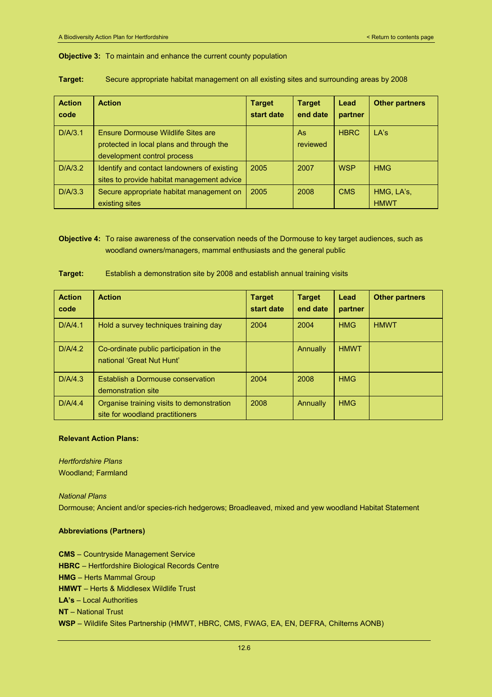#### **Objective 3:** To maintain and enhance the current county population

| Target: | Secure appropriate habitat management on all existing sites and surrounding areas by 2008 |  |  |
|---------|-------------------------------------------------------------------------------------------|--|--|
|         |                                                                                           |  |  |

| <b>Action</b><br>code | <b>Action</b>                                                                                                 | <b>Target</b><br>start date | <b>Target</b><br>end date | Lead<br>partner | <b>Other partners</b>     |
|-----------------------|---------------------------------------------------------------------------------------------------------------|-----------------------------|---------------------------|-----------------|---------------------------|
| D/A/3.1               | Ensure Dormouse Wildlife Sites are<br>protected in local plans and through the<br>development control process |                             | As<br>reviewed            | <b>HBRC</b>     | LA's                      |
| D/A/3.2               | Identify and contact landowners of existing<br>sites to provide habitat management advice                     | 2005                        | 2007                      | <b>WSP</b>      | <b>HMG</b>                |
| D/A/3.3               | Secure appropriate habitat management on<br>existing sites                                                    | 2005                        | 2008                      | <b>CMS</b>      | HMG, LA's,<br><b>HMWT</b> |

# **Objective 4:** To raise awareness of the conservation needs of the Dormouse to key target audiences, such as woodland owners/managers, mammal enthusiasts and the general public

#### **Target:** Establish a demonstration site by 2008 and establish annual training visits

| <b>Action</b><br>code | <b>Action</b>                                                                | <b>Target</b><br>start date | <b>Target</b><br>end date | Lead<br>partner | <b>Other partners</b> |
|-----------------------|------------------------------------------------------------------------------|-----------------------------|---------------------------|-----------------|-----------------------|
| D/A/4.1               | Hold a survey techniques training day                                        | 2004                        | 2004                      | <b>HMG</b>      | <b>HMWT</b>           |
| D/A/4.2               | Co-ordinate public participation in the<br>national 'Great Nut Hunt'         |                             | Annually                  | <b>HMWT</b>     |                       |
| D/A/4.3               | Establish a Dormouse conservation<br>demonstration site                      | 2004                        | 2008                      | <b>HMG</b>      |                       |
| D/A/4.4               | Organise training visits to demonstration<br>site for woodland practitioners | 2008                        | Annually                  | <b>HMG</b>      |                       |

#### **Relevant Action Plans:**

# *Hertfordshire Plans*

Woodland; Farmland

*National Plans*  Dormouse; Ancient and/or species-rich hedgerows; Broadleaved, mixed and yew woodland Habitat Statement

#### **Abbreviations (Partners)**

**CMS** – Countryside Management Service **HBRC** – Hertfordshire Biological Records Centre **HMG** – Herts Mammal Group **HMWT** – Herts & Middlesex Wildlife Trust **LA's** – Local Authorities **NT** – National Trust **WSP** – Wildlife Sites Partnership (HMWT, HBRC, CMS, FWAG, EA, EN, DEFRA, Chilterns AONB)